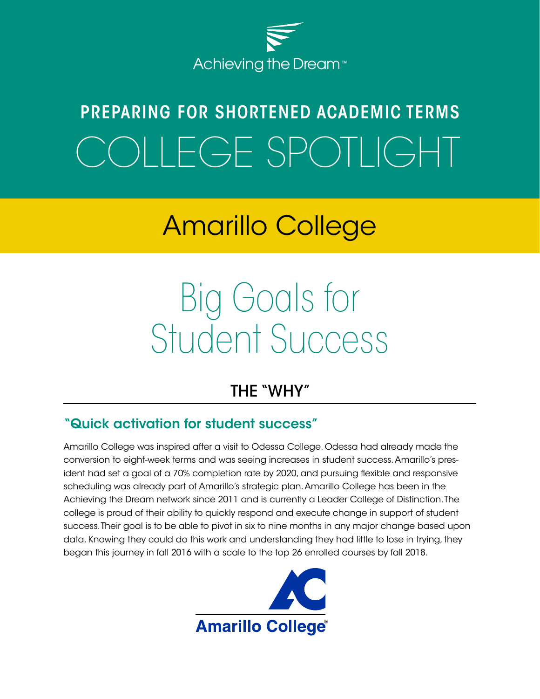

## PREPARING FOR SHORTENED ACADEMIC TERMS OLLEGE SPOTLIGHT

## Amarillo College

# Big Goals for Student Success

## THE "WHY"

## "Quick activation for student success"

Amarillo College was inspired after a visit to Odessa College. Odessa had already made the conversion to eight-week terms and was seeing increases in student success. Amarillo's president had set a goal of a 70% completion rate by 2020, and pursuing flexible and responsive scheduling was already part of Amarillo's strategic plan. Amarillo College has been in the Achieving the Dream network since 2011 and is currently a Leader College of Distinction. The college is proud of their ability to quickly respond and execute change in support of student success. Their goal is to be able to pivot in six to nine months in any major change based upon data. Knowing they could do this work and understanding they had little to lose in trying, they began this journey in fall 2016 with a scale to the top 26 enrolled courses by fall 2018.

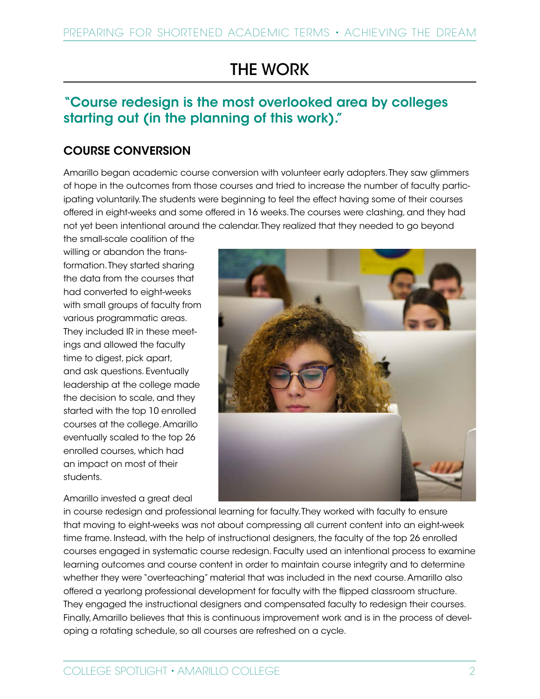## THE WORK

## "Course redesign is the most overlooked area by colleges starting out (in the planning of this work)."

### COURSE CONVERSION

Amarillo began academic course conversion with volunteer early adopters. They saw glimmers of hope in the outcomes from those courses and tried to increase the number of faculty participating voluntarily. The students were beginning to feel the effect having some of their courses offered in eight-weeks and some offered in 16 weeks. The courses were clashing, and they had not yet been intentional around the calendar. They realized that they needed to go beyond

the small-scale coalition of the willing or abandon the transformation. They started sharing the data from the courses that had converted to eight-weeks with small groups of faculty from various programmatic areas. They included IR in these meetings and allowed the faculty time to digest, pick apart, and ask questions. Eventually leadership at the college made the decision to scale, and they started with the top 10 enrolled courses at the college. Amarillo eventually scaled to the top 26 enrolled courses, which had an impact on most of their students.

#### Amarillo invested a great deal



in course redesign and professional learning for faculty. They worked with faculty to ensure that moving to eight-weeks was not about compressing all current content into an eight-week time frame. Instead, with the help of instructional designers, the faculty of the top 26 enrolled courses engaged in systematic course redesign. Faculty used an intentional process to examine learning outcomes and course content in order to maintain course integrity and to determine whether they were "overteaching" material that was included in the next course. Amarillo also offered a yearlong professional development for faculty with the flipped classroom structure. They engaged the instructional designers and compensated faculty to redesign their courses. Finally, Amarillo believes that this is continuous improvement work and is in the process of developing a rotating schedule, so all courses are refreshed on a cycle.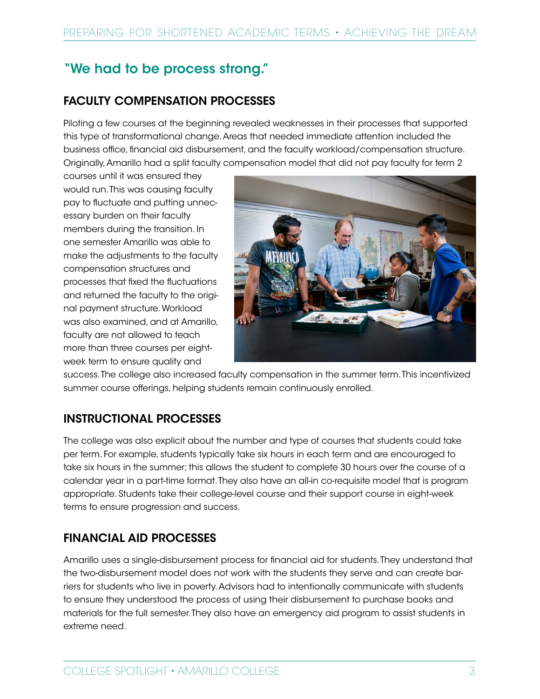## "We had to be process strong."

## FACULTY COMPENSATION PROCESSES

Piloting a few courses at the beginning revealed weaknesses in their processes that supported this type of transformational change. Areas that needed immediate attention included the business office, financial aid disbursement, and the faculty workload/compensation structure. Originally, Amarillo had a split faculty compensation model that did not pay faculty for term 2

courses until it was ensured they would run. This was causing faculty pay to fluctuate and putting unnecessary burden on their faculty members during the transition. In one semester Amarillo was able to make the adjustments to the faculty compensation structures and processes that fixed the fluctuations and returned the faculty to the original payment structure. Workload was also examined, and at Amarillo, faculty are not allowed to teach more than three courses per eightweek term to ensure quality and



success. The college also increased faculty compensation in the summer term. This incentivized summer course offerings, helping students remain continuously enrolled.

## INSTRUCTIONAL PROCESSES

The college was also explicit about the number and type of courses that students could take per term. For example, students typically take six hours in each term and are encouraged to take six hours in the summer; this allows the student to complete 30 hours over the course of a calendar year in a part-time format. They also have an all-in co-requisite model that is program appropriate. Students take their college-level course and their support course in eight-week terms to ensure progression and success.

## FINANCIAL AID PROCESSES

Amarillo uses a single-disbursement process for financial aid for students. They understand that the two-disbursement model does not work with the students they serve and can create barriers for students who live in poverty. Advisors had to intentionally communicate with students to ensure they understood the process of using their disbursement to purchase books and materials for the full semester. They also have an emergency aid program to assist students in extreme need.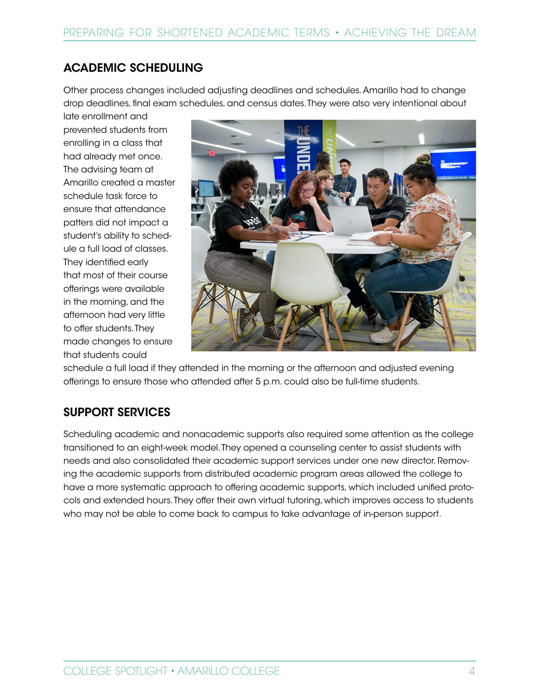### ACADEMIC SCHEDULING

Other process changes included adjusting deadlines and schedules. Amarillo had to change drop deadlines, final exam schedules, and census dates. They were also very intentional about

late enrollment and prevented students from enrolling in a class that had already met once. The advising team at Amarillo created a master schedule task force to ensure that attendance patters did not impact a student's ability to schedule a full load of classes. They identified early that most of their course offerings were available in the morning, and the afternoon had very little to offer students. They made changes to ensure that students could



schedule a full load if they attended in the morning or the afternoon and adjusted evening offerings to ensure those who attended after 5 p.m. could also be full-time students.

## SUPPORT SERVICES

Scheduling academic and nonacademic supports also required some attention as the college transitioned to an eight-week model. They opened a counseling center to assist students with needs and also consolidated their academic support services under one new director. Removing the academic supports from distributed academic program areas allowed the college to have a more systematic approach to offering academic supports, which included unified protocols and extended hours. They offer their own virtual tutoring, which improves access to students who may not be able to come back to campus to take advantage of in-person support.